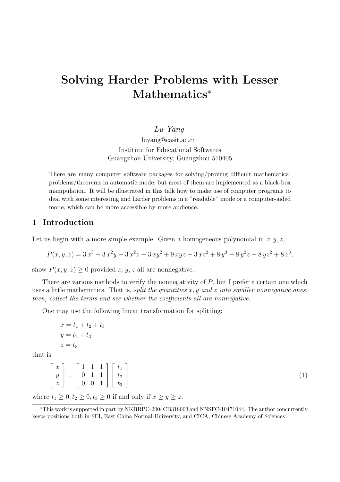# Solving Harder Problems with Lesser Mathematics<sup>\*</sup>

### Lu Yang

luyang@casit.ac.cn Institute for Educational Softwares Guangzhou University, Guangzhou 510405

There are many computer software packages for solving/proving difficult mathematical problems/theorems in automatic mode, but most of them are implemented as a black-box manipulation. It will be illustrated in this talk how to make use of computer programs to deal with some interesting and harder problems in a "readable" mode or a computer-aided mode, which can be more accessible by more audience.

# 1 Introduction

Let us begin with a more simple example. Given a homogeneous polynomial in  $x, y, z$ ,

$$
P(x, y, z) = 3x3 - 3x2y - 3x2z - 3xy2 + 9xyz - 3xz2 + 8y3 - 8y2z - 8yz2 + 8z3,
$$

show  $P(x, y, z) \geq 0$  provided  $x, y, z$  all are nonnegative.

There are various methods to verify the nonnegativity of  $P$ , but I prefer a certain one which uses a little mathematics. That is, split the quantities  $x, y$  and z into smaller nonnegative ones, then, collect the terms and see whether the coefficients all are nonnegative.

One may use the following linear transformation for splitting:

$$
x = t1 + t2 + t3
$$
  

$$
y = t2 + t3
$$
  

$$
z = t3
$$

that is

$$
\begin{bmatrix} x \\ y \\ z \end{bmatrix} = \begin{bmatrix} 1 & 1 & 1 \\ 0 & 1 & 1 \\ 0 & 0 & 1 \end{bmatrix} \begin{bmatrix} t_1 \\ t_2 \\ t_3 \end{bmatrix}
$$

(1)

where  $t_1 \geq 0, t_2 \geq 0, t_3 \geq 0$  if and only if  $x \geq y \geq z$ .

<sup>∗</sup>This work is supported in part by NKBRPC-2004CB318003 and NNSFC-10471044. The author concurrently keeps positions both in SEI, East China Normal University, and CICA, Chinese Academy of Sciences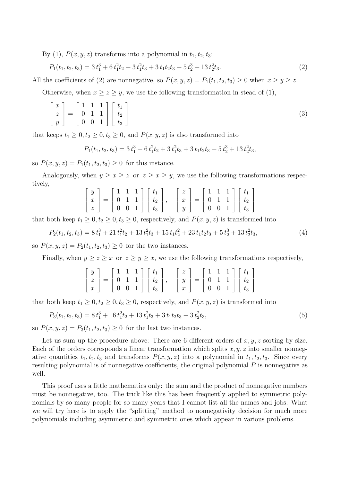By (1),  $P(x, y, z)$  transforms into a polynomial in  $t_1, t_2, t_3$ :

$$
P_1(t_1, t_2, t_3) = 3t_1^3 + 6t_1^2t_2 + 3t_1^2t_3 + 3t_1t_2t_3 + 5t_2^3 + 13t_2^2t_3.
$$
\n<sup>(2)</sup>

All the coefficients of (2) are nonnegative, so  $P(x, y, z) = P_1(t_1, t_2, t_3) \ge 0$  when  $x \ge y \ge z$ .

Otherwise, when  $x \ge z \ge y$ , we use the following transformation in stead of (1),

$$
\begin{bmatrix} x \\ z \\ y \end{bmatrix} = \begin{bmatrix} 1 & 1 & 1 \\ 0 & 1 & 1 \\ 0 & 0 & 1 \end{bmatrix} \begin{bmatrix} t_1 \\ t_2 \\ t_3 \end{bmatrix}
$$
 (3)

that keeps  $t_1 \geq 0, t_2 \geq 0, t_3 \geq 0$ , and  $P(x, y, z)$  is also transformed into

$$
P_1(t_1, t_2, t_3) = 3t_1^3 + 6t_1^2t_2 + 3t_1^2t_3 + 3t_1t_2t_3 + 5t_2^3 + 13t_2^2t_3,
$$

so  $P(x, y, z) = P_1(t_1, t_2, t_3) \ge 0$  for this instance.

Analogously, when  $y \ge x \ge z$  or  $z \ge x \ge y$ , we use the following transformations respectively,

$$
\begin{bmatrix} y \\ x \\ z \end{bmatrix} = \begin{bmatrix} 1 & 1 & 1 \\ 0 & 1 & 1 \\ 0 & 0 & 1 \end{bmatrix} \begin{bmatrix} t_1 \\ t_2 \\ t_3 \end{bmatrix}, \quad \begin{bmatrix} z \\ x \\ y \end{bmatrix} = \begin{bmatrix} 1 & 1 & 1 \\ 0 & 1 & 1 \\ 0 & 0 & 1 \end{bmatrix} \begin{bmatrix} t_1 \\ t_2 \\ t_3 \end{bmatrix}
$$

that both keep  $t_1 \geq 0, t_2 \geq 0, t_3 \geq 0$ , respectively, and  $P(x, y, z)$  is transformed into

$$
P_2(t_1, t_2, t_3) = 8t_1^3 + 21t_1^2t_2 + 13t_1^2t_3 + 15t_1t_2^2 + 23t_1t_2t_3 + 5t_2^3 + 13t_2^2t_3,
$$
\n<sup>(4)</sup>

so  $P(x, y, z) = P_2(t_1, t_2, t_3) \ge 0$  for the two instances.

Finally, when  $y \ge z \ge x$  or  $z \ge y \ge x$ , we use the following transformations respectively,

$$
\begin{bmatrix} y \\ z \\ x \end{bmatrix} = \begin{bmatrix} 1 & 1 & 1 \\ 0 & 1 & 1 \\ 0 & 0 & 1 \end{bmatrix} \begin{bmatrix} t_1 \\ t_2 \\ t_3 \end{bmatrix}, \quad \begin{bmatrix} z \\ y \\ x \end{bmatrix} = \begin{bmatrix} 1 & 1 & 1 \\ 0 & 1 & 1 \\ 0 & 0 & 1 \end{bmatrix} \begin{bmatrix} t_1 \\ t_2 \\ t_3 \end{bmatrix}
$$

that both keep  $t_1 \geq 0, t_2 \geq 0, t_3 \geq 0$ , respectively, and  $P(x, y, z)$  is transformed into

$$
P_3(t_1, t_2, t_3) = 8t_1^3 + 16t_1^2t_2 + 13t_1^2t_3 + 3t_1t_2t_3 + 3t_2^2t_3,
$$
\n
$$
(5)
$$

so  $P(x, y, z) = P_3(t_1, t_2, t_3) \geq 0$  for the last two instances.

Let us sum up the procedure above: There are 6 different orders of  $x, y, z$  sorting by size. Each of the orders corresponds a linear transformation which splits  $x, y, z$  into smaller nonnegative quantities  $t_1, t_2, t_3$  and transforms  $P(x, y, z)$  into a polynomial in  $t_1, t_2, t_3$ . Since every resulting polynomial is of nonnegative coefficients, the original polynomial  $P$  is nonnegative as well.

This proof uses a little mathematics only: the sum and the product of nonnegative numbers must be nonnegative, too. The trick like this has been frequently applied to symmetric polynomials by so many people for so many years that I cannot list all the names and jobs. What we will try here is to apply the "splitting" method to nonnegativity decision for much more polynomials including asymmetric and symmetric ones which appear in various problems.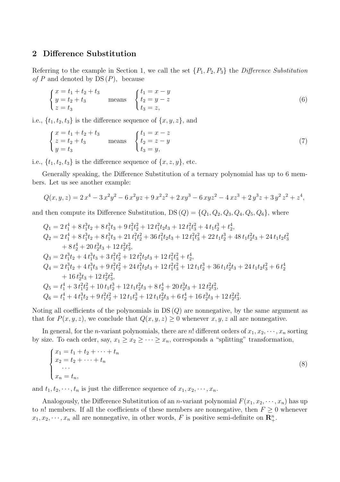# 2 Difference Substitution

Referring to the example in Section 1, we call the set  $\{P_1, P_2, P_3\}$  the Difference Substitution of P and denoted by  $DS(P)$ , because

$$
\begin{cases}\n x = t_1 + t_2 + t_3 \\
 y = t_2 + t_3 \\
 z = t_3\n\end{cases}\n\text{ means }\n\begin{cases}\n t_1 = x - y \\
 t_2 = y - z \\
 t_3 = z,\n\end{cases}\n\tag{6}
$$

i.e.,  $\{t_1, t_2, t_3\}$  is the difference sequence of  $\{x, y, z\}$ , and

$$
\begin{cases}\n x = t_1 + t_2 + t_3 \\
 z = t_2 + t_3 \\
 y = t_3\n\end{cases}\n\text{ means }\n\begin{cases}\n t_1 = x - z \\
 t_2 = z - y \\
 t_3 = y,\n\end{cases}\n\tag{7}
$$

i.e.,  $\{t_1, t_2, t_3\}$  is the difference sequence of  $\{x, z, y\}$ , etc.

Generally speaking, the Difference Substitution of a ternary polynomial has up to 6 members. Let us see another example:

$$
Q(x, y, z) = 2x4 - 3x2y2 - 6x2yz + 9x2z2 + 2xy3 - 6xyz2 - 4xz3 + 2y3z + 3y2z2 + z4,
$$

and then compute its Difference Substitution,  $DS(Q) = \{Q_1, Q_2, Q_3, Q_4, Q_5, Q_6\}$ , where

$$
Q_1 = 2 t_1^4 + 8 t_1^3 t_2 + 8 t_1^3 t_3 + 9 t_1^2 t_2^2 + 12 t_1^2 t_2 t_3 + 12 t_1^2 t_3^2 + 4 t_1 t_2^3 + t_2^4,
$$
  
\n
$$
Q_2 = 2 t_1^4 + 8 t_1^3 t_2 + 8 t_1^3 t_3 + 21 t_1^2 t_2^2 + 36 t_1^2 t_2 t_3 + 12 t_1^2 t_3^2 + 22 t_1 t_2^3 + 48 t_1 t_2^2 t_3 + 24 t_1 t_2 t_3^2
$$
\n
$$
+ 8 t_2^4 + 20 t_2^3 t_3 + 12 t_2^2 t_3^2,
$$
  
\n
$$
Q_3 = 2 t_1^3 t_2 + 4 t_1^3 t_3 + 3 t_1^2 t_2^2 + 12 t_1^2 t_2 t_3 + 12 t_1^2 t_3^2 + t_2^4,
$$
  
\n
$$
Q_4 = 2 t_1^3 t_2 + 4 t_1^3 t_3 + 9 t_1^2 t_2^2 + 24 t_1^2 t_2 t_3 + 12 t_1^2 t_3^2 + 12 t_1 t_2^3 + 36 t_1 t_2^2 t_3 + 24 t_1 t_2 t_3^2 + 6 t_2^4
$$
\n
$$
+ 16 t_2^3 t_3 + 12 t_2^2 t_3^2,
$$
  
\n
$$
Q_5 = t_1^4 + 3 t_1^2 t_2^2 + 10 t_1 t_2^3 + 12 t_1 t_2^2 t_3 + 8 t_2^4 + 20 t_2^3 t_3 + 12 t_2^2 t_3^2,
$$
  
\n
$$
Q_6 = t_1^4 + 4 t_1^3 t_2 + 9 t_1^2 t_2^2 + 12 t_1 t_2^3 + 12 t_1 t_2^2 t_3 + 6 t_2^4 + 16 t_2^3 t_3 + 12 t_2^2 t_3^2.
$$

Noting all coefficients of the polynomials in  $DS(Q)$  are nonnegative, by the same argument as that for  $P(x, y, z)$ , we conclude that  $Q(x, y, z) \geq 0$  whenever  $x, y, z$  all are nonnegative.

In general, for the *n*-variant polynomials, there are *n*! different orders of  $x_1, x_2, \dots, x_n$  sorting by size. To each order, say,  $x_1 \ge x_2 \ge \cdots \ge x_n$ , corresponds a "splitting" transformation,

$$
\begin{cases}\nx_1 = t_1 + t_2 + \dots + t_n \\
x_2 = t_2 + \dots + t_n \\
\dots \\
x_n = t_n,\n\end{cases} \tag{8}
$$

and  $t_1, t_2, \dots, t_n$  is just the difference sequence of  $x_1, x_2, \dots, x_n$ .

Analogously, the Difference Substitution of an *n*-variant polynomial  $F(x_1, x_2, \dots, x_n)$  has up to n! members. If all the coefficients of these members are nonnegative, then  $F \geq 0$  whenever  $x_1, x_2, \dots, x_n$  all are nonnegative, in other words, F is positive semi-definite on  $\mathbb{R}^n_+$ .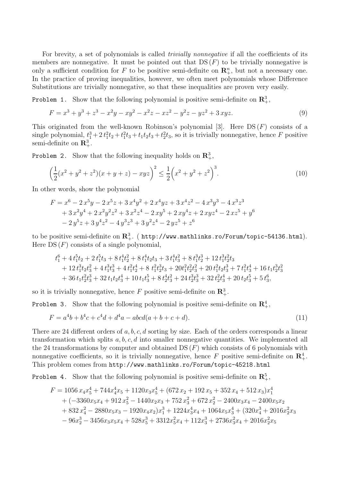For brevity, a set of polynomials is called *trivially nonnegative* if all the coefficients of its members are nonnegative. It must be pointed out that  $DS(F)$  to be trivially nonnegative is only a sufficient condition for F to be positive semi-definite on  $\mathbb{R}^n_+$ , but not a necessary one. In the practice of proving inequalities, however, we often meet polynomials whose Difference Substitutions are trivially nonnegative, so that these inequalities are proven very easily.

Problem 1. Show that the following polynomial is positive semi-definite on  $\mathbb{R}^3_+$ ,

$$
F = x3 + y3 + z3 - x2y - xy2 - x2z - xz2 - y2z - yz2 + 3 xyz.
$$
 (9)

This originated from the well-known Robinson's polynomial [3]. Here  $DS(F)$  consists of a single polynomial,  $t_1^3 + 2t_1^2t_2 + t_1^2t_3 + t_1t_2t_3 + t_2^2t_3$ , so it is trivially nonnegative, hence F positive semi-definite on  $\mathbb{R}^3_+$ .

Problem 2. Show that the following inequality holds on  $\mathbb{R}^3_+$ ,

$$
\left(\frac{1}{2}(x^2+y^2+z^2)(x+y+z)-xyz\right)^2 \le \frac{1}{2}\left(x^2+y^2+z^2\right)^3.
$$
\n(10)

In other words, show the polynomial

$$
F = x^{6} - 2 x^{5} y - 2 x^{5} z + 3 x^{4} y^{2} + 2 x^{4} y z + 3 x^{4} z^{2} - 4 x^{3} y^{3} - 4 x^{3} z^{3}
$$
  
+ 3 x<sup>2</sup>y<sup>4</sup> + 2 x<sup>2</sup>y<sup>2</sup>z<sup>2</sup> + 3 x<sup>2</sup>z<sup>4</sup> - 2 xy<sup>5</sup> + 2 xy<sup>4</sup>z + 2 xyz<sup>4</sup> - 2 xz<sup>5</sup> + y<sup>6</sup>  
- 2 y<sup>5</sup>z + 3 y<sup>4</sup>z<sup>2</sup> - 4 y<sup>3</sup>z<sup>3</sup> + 3 y<sup>2</sup>z<sup>4</sup> - 2 yz<sup>5</sup> + z<sup>6</sup>

to be positive semi-definite on  ${\bf R}^3_+$ . ( <code>http://www.mathlinks.ro/Forum/topic-54136.html</code>). Here  $DS(F)$  consists of a single polynomial,

$$
t_1^6 + 4\,t_1^5t_2 + 2\,t_1^5t_3 + 8\,t_1^4t_2^2 + 8\,t_1^4t_2t_3 + 3\,t_1^4t_3^2 + 8\,t_1^3t_2^3 + 12\,t_1^3t_2^2t_3 + 12\,t_1^3t_2t_3^2 + 4\,t_1^3t_3^3 + 4\,t_1^2t_2^4 + 8\,t_1^2t_2^3t_3 + 20t_1^2t_2t_3^2 + 20\,t_1^2t_2t_3^3 + 7\,t_1^2t_3^4 + 16\,t_1t_2^3t_3^2 + 36\,t_1t_2^2t_3^3 + 32\,t_1t_2t_3^4 + 10\,t_1t_3^5 + 8\,t_2^4t_3^2 + 24\,t_2^3t_3^3 + 32\,t_2^2t_3^4 + 20\,t_2t_3^5 + 5\,t_3^6,
$$

so it is trivially nonnegative, hence F positive semi-definite on  $\mathbb{R}^3_+$ .

Problem 3. Show that the following polynomial is positive semi-definite on  $\mathbb{R}^4_+$ ,

$$
F = a4b + b4c + c4d + d4a - abcd(a + b + c + d).
$$
 (11)

There are 24 different orders of a, b, c, d sorting by size. Each of the orders corresponds a linear transformation which splits  $a, b, c, d$  into smaller nonnegative quantities. We implemented all the 24 transformations by computer and obtained  $DS(F)$  which consists of 6 polynomials with nonnegative coefficients, so it is trivially nonnegative, hence F positive semi-definite on  $\mathbb{R}^4_+$ . This problem comes from http://www.mathlinks.ro/Forum/topic-45218.html

Problem 4. Show that the following polynomial is positive semi-definite on  $\mathbb{R}^5_+$ ,

$$
F = 1056 x_4 x_5^4 + 744 x_4^4 x_5 + 1120 x_3 x_5^4 + (672 x_2 + 192 x_5 + 352 x_4 + 512 x_3) x_1^4
$$
  
+  $(-3360 x_5 x_4 + 912 x_5^2 - 1440 x_2 x_3 + 752 x_3^2 + 672 x_2^2 - 2400 x_3 x_4 - 2400 x_5 x_2$   
+  $832 x_4^2 - 2880 x_5 x_3 - 1920 x_4 x_2) x_1^3 + 1224 x_3^4 x_4 + 1064 x_5 x_3^4 + (320 x_4^3 + 2016 x_2^2 x_3 - 96 x_2^3 - 3456 x_3 x_5 x_4 + 528 x_5^2 + 3312 x_5^2 x_4 + 112 x_3^3 + 2736 x_3^2 x_4 + 2016 x_2^2 x_5$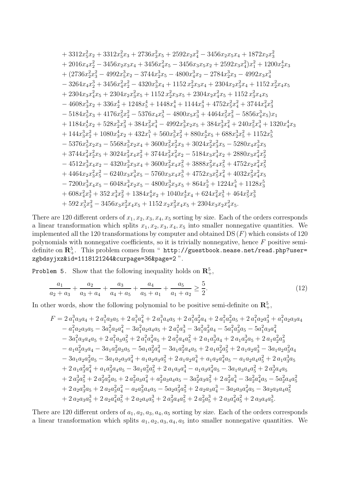$$
+3312x_5^2x_2+3312x_5^2x_3+2736x_3^2x_5+2592x_2x_4^2-3456x_2x_5x_4+1872x_2x_3^2+2016x_4x_2^2-3456x_2x_3x_4+3456x_4^2x_5-3456x_3x_5x_2+2592x_3x_4^2)x_1^2+1200x_2^4x_3+ (2736x_2^2x_3^2-4992x_5^3x_2-3744x_2^3x_5-4800x_4^3x_2-2784x_2^3x_3-4992x_3x_4^3-3264x_4x_2^3+3456x_4^2x_2^2-4320x_3^3x_4+1152\,x_2^2x_3x_4+2304x_2x_3^2x_4+1152\,x_2^2x_4x_5+2304x_3x_4^2x_5+2304x_2x_3^2x_5+1152\,x_2^2x_3x_5+2304x_2x_4^2x_5+1152\,x_3^2x_4x_5-4608x_3^3x_2+336x_2^4+1248x_5^4+1448x_4^4+1144x_3^4+4752x_5^2x_4^2+3744x_4^2x_3^2-5184x_5^3x_3+4176x_5^2x_2^2-5376x_4x_5^3-4800x_5x_3^3+4464x_5^2x_3^2-5856x_4^3x_5)x_1+1184x_5^4x_2+528x_2^3x_3^2+384x_3^2x_4^3-4992x_3^3x_2x_5+384x_3^3x_4^2+240x_5^2x_4^3+1320x_4^4x_3+144x_3^3x_2^2+1080x_3^4x_2+432x_1^5+560x_3^3x_2^2+880x_2^4x_5+6
$$

There are 120 different orders of  $x_1, x_2, x_3, x_4, x_5$  sorting by size. Each of the orders corresponds a linear transformation which splits  $x_1, x_2, x_3, x_4, x_5$  into smaller nonnegative quantities. We implemented all the 120 transformations by computer and obtained  $DS(F)$  which consists of 120 polynomials with nonnegative coefficients, so it is trivially nonnegative, hence  $F$  positive semidefinite on  ${\bf R}^5_+$ . This problem comes from " <code>http://guestbook.nease.net/read.php?user=</code> zgbdsyjxz&id=1118121244&curpage=36&page=2 ".

Problem 5. Show that the following inequality holds on  $\mathbb{R}^5_+$ ,

$$
\frac{a_1}{a_2 + a_3} + \frac{a_2}{a_3 + a_4} + \frac{a_3}{a_4 + a_5} + \frac{a_4}{a_5 + a_1} + \frac{a_5}{a_1 + a_2} \ge \frac{5}{2}.\tag{12}
$$

In other words, show the following polynomial to be positive semi-definite on  $\mathbb{R}^5_+$ ,

$$
F = 2 a_1^3 a_3 a_4 + 2 a_1^3 a_3 a_5 + 2 a_1^3 a_4^2 + 2 a_1^3 a_4 a_5 + 2 a_1^2 a_2^2 a_4 + 2 a_1^2 a_2^2 a_5 + 2 a_1^2 a_2 a_3^2 + a_1^2 a_2 a_3 a_4 - a_1^2 a_2 a_3 a_5 - 3 a_1^2 a_2 a_4^2 - 3 a_1^2 a_2 a_4 a_5 + 2 a_1^2 a_3^3 - 3 a_1^2 a_3^2 a_4 - 5 a_1^2 a_3^2 a_5 - 5 a_1^2 a_3 a_4^2 - 3 a_1^2 a_3 a_4 a_5 + 2 a_1^2 a_3 a_5^2 + 2 a_1^2 a_4^2 a_5 + 2 a_1 a_2^3 a_4 + 2 a_1 a_2^3 a_5 + 2 a_1 a_2^2 a_3^2 - a_1 a_2^2 a_3 a_4 - 3 a_1 a_2^2 a_3 a_5 - 5 a_1 a_2^2 a_4^2 - 3 a_1 a_2^2 a_4 a_5 + 2 a_1 a_2^2 a_5^2 + 2 a_1 a_2 a_3^3 - 3 a_1 a_2 a_3^2 a_4 - 3 a_1 a_2 a_3^2 a_5 - 3 a_1 a_2 a_3 a_4^2 + a_1 a_2 a_3 a_5^2 + 2 a_1 a_2 a_4^3 + a_1 a_2 a_4^2 a_5 - a_1 a_2 a_4 a_5^2 + 2 a_1 a_3^3 a_5 + 2 a_1 a_3^2 a_4^2 + a_1 a_3^2 a_4 a_5 - 3 a_1 a_3^2 a_5^2 + 2 a_1 a_3 a_4^3 - a_1 a_3 a_4 a_5^2 - 3 a_1 a_3 a_4 a_5^2 + 2 a_2^3 a_4 a_5 + 2 a_2^3 a_5^2 + 2 a_2^2 a_3^2 a_4^2 - a_2 a_3^2 a_4 a_5 - 5 a_2^2 a_3 a_4^2 - 3 a_2^2 a_3 a_4^2 - 3 a_2^2 a_4 a_5^2 + 2 a
$$

There are 120 different orders of  $a_1, a_2, a_3, a_4, a_5$  sorting by size. Each of the orders corresponds a linear transformation which splits  $a_1, a_2, a_3, a_4, a_5$  into smaller nonnegative quantities. We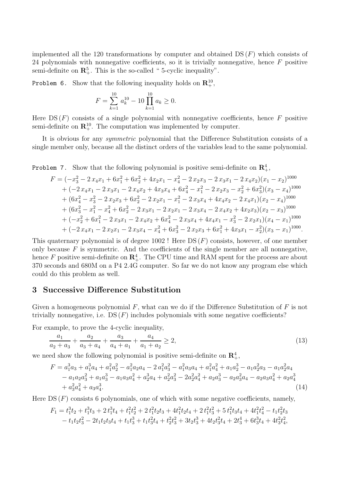implemented all the 120 transformations by computer and obtained  $DS(F)$  which consists of 24 polynomials with nonnegative coefficients, so it is trivially nonnegative, hence  $F$  positive semi-definite on  $\mathbb{R}^5_+$ . This is the so-called "5-cyclic inequality".

Problem 6. Show that the following inequality holds on  $\mathbb{R}^{10}_+$ ,

$$
F = \sum_{k=1}^{10} a_k^{10} - 10 \prod_{k=1}^{10} a_k \ge 0.
$$

Here  $DS(F)$  consists of a single polynomial with nonnegative coefficients, hence F positive semi-definite on  $\mathbb{R}^{10}_+$ . The computation was implemented by computer.

It is obvious for any symmetric polynomial that the Difference Substitution consists of a single member only, because all the distinct orders of the variables lead to the same polynomial.

Problem 7. Show that the following polynomial is positive semi-definite on  $\mathbb{R}^4_+$ ,

$$
F = (-x_3^2 - 2x_4x_1 + 6x_1^2 + 6x_2^2 + 4x_2x_1 - x_4^2 - 2x_2x_3 - 2x_3x_1 - 2x_4x_2)(x_1 - x_2)^{1000}
$$
  
+  $(-2x_4x_1 - 2x_3x_1 - 2x_4x_2 + 4x_3x_4 + 6x_4^2 - x_1^2 - 2x_2x_3 - x_2^2 + 6x_3^2)(x_3 - x_4)^{1000}$   
+  $(6x_4^2 - x_3^2 - 2x_2x_3 + 6x_2^2 - 2x_2x_1 - x_1^2 - 2x_3x_4 + 4x_4x_2 - 2x_4x_1)(x_2 - x_4)^{1000}$   
+  $(6x_3^2 - x_1^2 - x_4^2 + 6x_2^2 - 2x_3x_1 - 2x_2x_1 - 2x_3x_4 - 2x_4x_2 + 4x_2x_3)(x_2 - x_3)^{1000}$   
+  $(-x_2^2 + 6x_1^2 - 2x_3x_1 - 2x_4x_2 + 6x_4^2 - 2x_3x_4 + 4x_4x_1 - x_3^2 - 2x_2x_1)(x_4 - x_1)^{1000}$   
+  $(-2x_4x_1 - 2x_2x_1 - 2x_3x_4 - x_4^2 + 6x_3^2 - 2x_2x_3 + 6x_1^2 + 4x_3x_1 - x_2^2)(x_3 - x_1)^{1000}$ .

This quaternary polynomial is of degree ! Here DS  $(F)$  consists, however, of one member only because  $F$  is symmetric. And the coefficients of the single member are all nonnegative, hence F positive semi-definite on  $\mathbb{R}^4_+$ . The CPU time and RAM spent for the process are about 370 seconds and 680M on a P4 2.4G computer. So far we do not know any program else which could do this problem as well.

#### 3 Successive Difference Substitution

Given a homogeneous polynomial  $F$ , what can we do if the Difference Substitution of  $F$  is not trivially nonnegative, i.e.  $DS(F)$  includes polynomials with some negative coefficients?

For example, to prove the 4-cyclic inequality,

$$
\frac{a_1}{a_2 + a_3} + \frac{a_2}{a_3 + a_4} + \frac{a_3}{a_4 + a_1} + \frac{a_4}{a_1 + a_2} \ge 2,
$$
\n(13)

we need show the following polynomial is positive semi-definite on  $\mathbb{R}^4_+$ ,

$$
F = a_1^3 a_3 + a_1^3 a_4 + a_1^2 a_2^2 - a_1^2 a_2 a_4 - 2 a_1^2 a_3^2 - a_1^2 a_3 a_4 + a_1^2 a_4^2 + a_1 a_2^3 - a_1 a_2^2 a_3 - a_1 a_2^2 a_4
$$
  
\n
$$
- a_1 a_2 a_3^2 + a_1 a_3^3 - a_1 a_3 a_4^2 + a_2^3 a_4 + a_2^2 a_3^2 - 2 a_2^2 a_4^2 + a_2 a_3^3 - a_2 a_3^2 a_4 - a_2 a_3 a_4^2 + a_2 a_4^3
$$
  
\n
$$
+ a_3^2 a_4^2 + a_3 a_4^3.
$$
\n(14)

Here  $DS(F)$  consists 6 polynomials, one of which with some negative coefficients, namely,

$$
F_1 = t_1^3 t_2 + t_1^3 t_3 + 2 t_1^3 t_4 + t_1^2 t_2^2 + 2 t_1^2 t_2 t_3 + 4 t_1^2 t_2 t_4 + 2 t_1^2 t_3^2 + 5 t_1^2 t_3 t_4 + 4 t_1^2 t_4^2 - t_1 t_2^2 t_3 - t_1 t_2 t_3^2 - 2 t_1 t_2 t_3 t_4 + t_1 t_3^3 + t_1 t_3^2 t_4 + t_2^2 t_3^2 + 3 t_2 t_3^3 + 4 t_2 t_3^2 t_4 + 2 t_3^4 + 6 t_3^3 t_4 + 4 t_3^2 t_4^2,
$$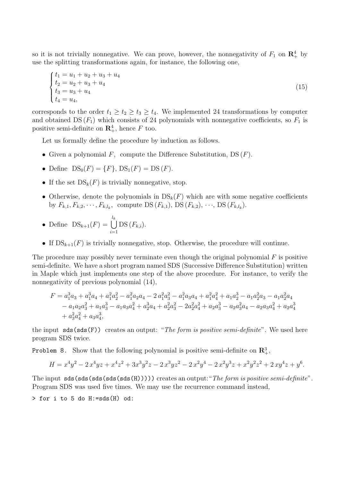so it is not trivially nonnegative. We can prove, however, the nonnegativity of  $F_1$  on  $\mathbb{R}^4_+$  by use the splitting transformations again, for instance, the following one,

$$
\begin{cases}\n t_1 = u_1 + u_2 + u_3 + u_4 \\
 t_2 = u_2 + u_3 + u_4 \\
 t_3 = u_3 + u_4 \\
 t_4 = u_4,\n\end{cases}
$$
\n(15)

corresponds to the order  $t_1 \geq t_2 \geq t_3 \geq t_4$ . We implemented 24 transformations by computer and obtained  $DS(F_1)$  which consists of 24 polynomials with nonnegative coefficients, so  $F_1$  is positive semi-definite on  $\mathbb{R}^4_+$ , hence F too.

Let us formally define the procedure by induction as follows.

- Given a polynomial  $F$ , compute the Difference Substitution, DS  $(F)$ .
- Define  $DS_0(F) = \{F\}, DS_1(F) = DS(F).$
- If the set  $DS_k(F)$  is trivially nonnegative, stop.
- Otherwise, denote the polynomials in  $DS_k(F)$  which are with some negative coefficients by  $F_{k,1}, F_{k,2}, \dots, F_{k,l_k}$ , compute DS  $(F_{k,1}), \text{DS}(F_{k,2}), \dots, \text{DS}(F_{k,l_k}).$

• Define 
$$
DS_{k+1}(F) = \bigcup_{i=1}^{l_k} DS(F_{k,i}).
$$

• If  $DS_{k+1}(F)$  is trivially nonnegative, stop. Otherwise, the procedure will continue.

The procedure may possibly never terminate even though the original polynomial  $F$  is positive semi-definite. We have a short program named SDS (Successive Difference Substitution) written in Maple which just implements one step of the above procedure. For instance, to verify the nonnegativity of previous polynomial (14),

$$
F = a_1^3 a_3 + a_1^3 a_4 + a_1^2 a_2^2 - a_1^2 a_2 a_4 - 2 a_1^2 a_3^2 - a_1^2 a_3 a_4 + a_1^2 a_4^2 + a_1 a_2^3 - a_1 a_2^2 a_3 - a_1 a_2^2 a_4
$$
  
\n
$$
- a_1 a_2 a_3^2 + a_1 a_3^3 - a_1 a_3 a_4^2 + a_2^3 a_4 + a_2^2 a_3^2 - 2 a_2^2 a_4^2 + a_2 a_3^3 - a_2 a_3^2 a_4 - a_2 a_3 a_4^2 + a_2 a_4^3
$$
  
\n
$$
+ a_3^2 a_4^2 + a_3 a_4^3,
$$

the input  $sds(sds(F))$  creates an output: "The form is positive semi-definite". We used here program SDS twice.

Problem 8. Show that the following polynomial is positive semi-definite on  $\mathbb{R}^3_+$ ,

$$
H = x^4y^2 - 2x^4yz + x^4z^2 + 3x^3y^2z - 2x^3yz^2 - 2x^2y^4 - 2x^2y^3z + x^2y^2z^2 + 2xy^4z + y^6.
$$

The input  $sds(sds(sds(sds(H))))$  creates an output: "The form is positive semi-definite". Program SDS was used five times. We may use the recurrence command instead,

> for i to 5 do H:=sds(H) od: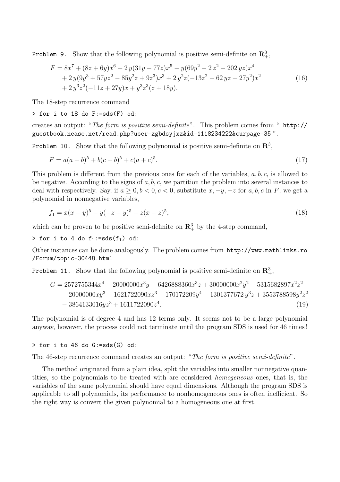Problem 9. Show that the following polynomial is positive semi-definite on  $\mathbb{R}^3_+$ ,

$$
F = 8x^{7} + (8z + 6y)x^{6} + 2y(31y - 77z)x^{5} - y(69y^{2} - 2z^{2} - 202yz)x^{4}
$$
  
+ 2y(9y<sup>3</sup> + 57yz<sup>2</sup> - 85y<sup>2</sup>z + 9z<sup>3</sup>)x<sup>3</sup> + 2y<sup>2</sup>z(-13z<sup>2</sup> - 62yz + 27y<sup>2</sup>)x<sup>2</sup>  
+ 2y<sup>3</sup>z<sup>2</sup>(-11z + 27y)x + y<sup>3</sup>z<sup>3</sup>(z + 18y). (16)

The 18-step recurrence command

> for i to 18 do F:=sds(F) od:

creates an output: "The form is positive semi-definite". This problem comes from " http:// guestbook.nease.net/read.php?user=zgbdsyjxz&id=1118234222&curpage=35 ".

Problem 10. Show that the following polynomial is positive semi-definite on  $\mathbb{R}^3$ ,

$$
F = a(a+b)^5 + b(c+b)^5 + c(a+c)^5.
$$
\n(17)

This problem is different from the previous ones for each of the variables, a, b, c, is allowed to be negative. According to the signs of  $a, b, c$ , we partition the problem into several instances to deal with respectively. Say, if  $a \geq 0, b < 0, c < 0$ , substitute  $x, -y, -z$  for  $a, b, c$  in F, we get a polynomial in nonnegative variables,

$$
f_1 = x(x - y)^5 - y(-z - y)^5 - z(x - z)^5,
$$
\n(18)

which can be proven to be positive semi-definite on  $\mathbb{R}^3_+$  by the 4-step command,

> for i to 4 do  $f_1:=sds(f_1)$  od:

Other instances can be done analogously. The problem comes from http://www.mathlinks.ro /Forum/topic-30448.html

Problem 11. Show that the following polynomial is positive semi-definite on  $\mathbb{R}^3_+$ ,

$$
G = 2572755344x^{4} - 20000000x^{3}y - 6426888360x^{3}z + 30000000x^{2}y^{2} + 5315682897x^{2}z^{2}
$$
  
- 20000000xy<sup>3</sup> - 1621722090xz<sup>3</sup> + 170172209y<sup>4</sup> - 1301377672y<sup>3</sup>z + 3553788598y<sup>2</sup>z<sup>2</sup>  
- 3864133016yz<sup>3</sup> + 1611722090z<sup>4</sup>. (19)

The polynomial is of degree 4 and has 12 terms only. It seems not to be a large polynomial anyway, however, the process could not terminate until the program SDS is used for 46 times !

 $>$  for i to 46 do G:=sds(G) od:

The 46-step recurrence command creates an output: "The form is positive semi-definite".

The method originated from a plain idea, split the variables into smaller nonnegative quantities, so the polynomials to be treated with are considered homogeneous ones, that is, the variables of the same polynomial should have equal dimensions. Although the program SDS is applicable to all polynomials, its performance to nonhomogeneous ones is often inefficient. So the right way is convert the given polynomial to a homogeneous one at first.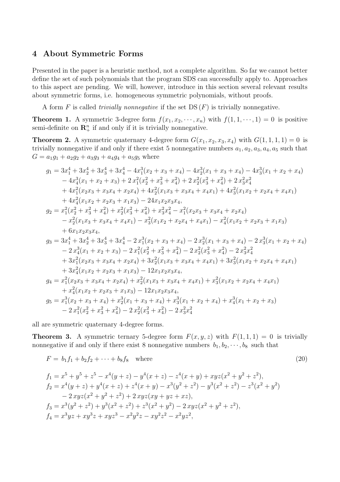#### 4 About Symmetric Forms

Presented in the paper is a heuristic method, not a complete algorithm. So far we cannot better define the set of such polynomials that the program SDS can successfully apply to. Approaches to this aspect are pending. We will, however, introduce in this section several relevant results about symmetric forms, i.e. homogeneous symmetric polynomials, without proofs.

A form F is called *trivially nonnegative* if the set  $DS(F)$  is trivially nonnegative.

**Theorem 1.** A symmetric 3-degree form  $f(x_1, x_2, \dots, x_n)$  with  $f(1, 1, \dots, 1) = 0$  is positive semi-definite on  $\mathbb{R}^n_+$  if and only if it is trivially nonnegative.

**Theorem 2.** A symmetric quaternary 4-degree form  $G(x_1, x_2, x_3, x_4)$  with  $G(1, 1, 1, 1) = 0$  is trivially nonnegative if and only if there exist 5 nonnegative numbers  $a_1, a_2, a_3, a_4, a_5$  such that  $G = a_1g_1 + a_2g_2 + a_3g_3 + a_4g_4 + a_5g_5$  where

$$
g_1 = 3x_1^4 + 3x_2^4 + 3x_3^4 + 3x_4^4 - 4x_1^3(x_2 + x_3 + x_4) - 4x_2^3(x_1 + x_3 + x_4) - 4x_3^3(x_1 + x_2 + x_4) - 4x_4^3(x_1 + x_2 + x_3) + 2x_1^2(x_2^2 + x_3^2 + x_4^2) + 2x_2^2(x_3^2 + x_4^2) + 2x_3^2x_4^2 + 4x_1^2(x_2x_3 + x_3x_4 + x_2x_4) + 4x_2^2(x_1x_3 + x_3x_4 + x_4x_1) + 4x_3^2(x_1x_2 + x_2x_4 + x_4x_1) + 4x_4^2(x_1x_2 + x_2x_3 + x_1x_3) - 24x_1x_2x_3x_4,
$$
  

$$
g_2 = x_1^2(x_2^2 + x_3^2 + x_4^2) + x_2^2(x_3^2 + x_4^2) + x_3^2x_4^2 - x_1^2(x_2x_3 + x_3x_4 + x_2x_4) - x_2^2(x_1x_3 + x_3x_4 + x_4x_1) - x_3^2(x_1x_2 + x_2x_4 + x_4x_1) - x_4^2(x_1x_2 + x_2x_3 + x_1x_3) + 6x_1x_2x_3x_4,
$$
  

$$
g_3 = 3x_1^4 + 3x_2^4 + 3x_3^4 + 3x_4^4 - 2x_1^3(x_2 + x_3 + x_4) - 2x_2^3(x_1 + x_3 + x_4) - 2x_3^3(x_1 + x_2 + x_4) - 2x_4^3(x_1 + x_2 + x_3) - 2x_1^2(x_2^2 + x_3^2 + x_4^2) - 2x_2^2(x_3^2 + x_4^2) - 2x_3^2x_4^2 + 3x_1^2(x_2x_3 + x_3x_4 + x_2x_4) + 3x_2^2(x_1x_3 + x_3x_4 + x_4x_1) + 3x_3^2
$$

all are symmetric quaternary 4-degree forms.

**Theorem 3.** A symmetric ternary 5-degree form  $F(x, y, z)$  with  $F(1, 1, 1) = 0$  is trivially nonnegative if and only if there exist 8 nonnegative numbers  $b_1, b_2, \dots, b_8$  such that

$$
F = b_1 f_1 + b_2 f_2 + \dots + b_8 f_8 \quad \text{where} \tag{20}
$$

$$
f_1 = x^5 + y^5 + z^5 - x^4(y + z) - y^4(x + z) - z^4(x + y) + xyz(x^2 + y^2 + z^2),
$$
  
\n
$$
f_2 = x^4(y + z) + y^4(x + z) + z^4(x + y) - x^3(y^2 + z^2) - y^3(x^2 + z^2) - z^3(x^2 + y^2)
$$
  
\n
$$
- 2 xyz(x^2 + y^2 + z^2) + 2 xyz(xy + yz + xz),
$$
  
\n
$$
f_3 = x^3(y^2 + z^2) + y^3(x^2 + z^2) + z^3(x^2 + y^2) - 2 xyz(x^2 + y^2 + z^2),
$$
  
\n
$$
f_4 = x^3yz + xy^3z + xyz^3 - x^2y^2z - xy^2z^2 - x^2yz^2,
$$